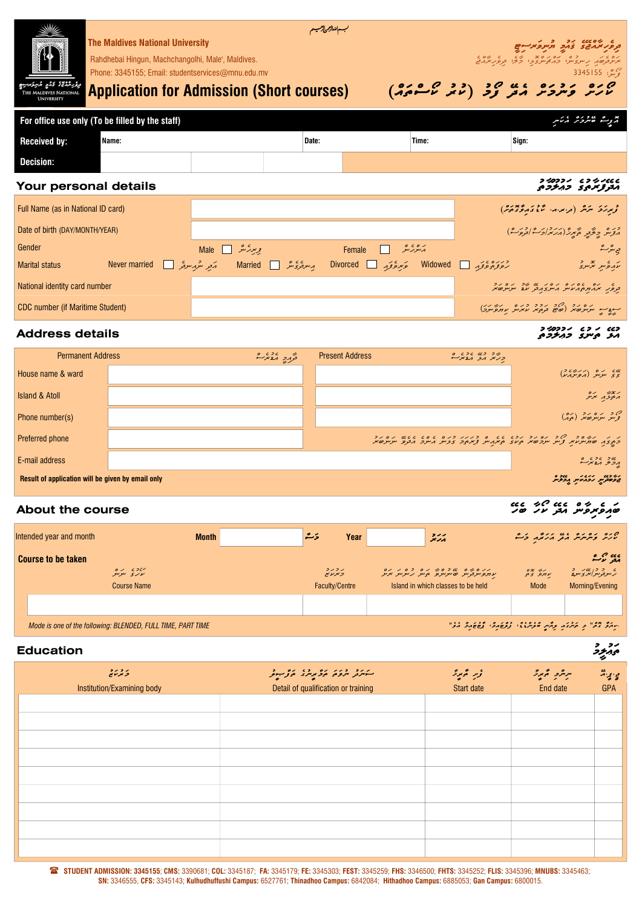| وكر شمائع كذو شركته<br>THE MALDIVES NATI<br><b>UNIVERSITY</b> | <b>The Maldives National University</b><br>Rahdhebai Hingun, Machchangolhi, Male', Maldives.<br>Phone: 3345155; Email: studentservices@mnu.edu.mv<br><b>Application for Admission (Short courses)</b> |                                                                                    | سهانقالزمر لارمسيتم |                    |       |                         | ودهر مهجى ومع مهرومرسي<br>3345155 $\frac{2}{3}$<br>$(0,0,0,0,0)$ or $(0,0,0,0,0)$ |
|---------------------------------------------------------------|-------------------------------------------------------------------------------------------------------------------------------------------------------------------------------------------------------|------------------------------------------------------------------------------------|---------------------|--------------------|-------|-------------------------|-----------------------------------------------------------------------------------|
|                                                               | For office use only (To be filled by the staff)                                                                                                                                                       |                                                                                    |                     |                    |       |                         | أزوب غيردره أرتكس                                                                 |
| <b>Received by:</b>                                           | Name:                                                                                                                                                                                                 |                                                                                    | Date:               |                    | Time: | Sign:                   |                                                                                   |
| <b>Decision:</b>                                              |                                                                                                                                                                                                       |                                                                                    |                     |                    |       |                         |                                                                                   |
| Your personal details                                         |                                                                                                                                                                                                       |                                                                                    |                     |                    |       |                         | フジコフィ ヒコシノくくく<br>مترتز مرمى ومنزومى                                               |
| Full Name (as in National ID card)                            |                                                                                                                                                                                                       |                                                                                    |                     |                    |       |                         | زىرىك ئىرىگە (مەس، ئۇقىدۇمۇمەر)                                                   |
| Date of birth (DAY/MONTH/YEAR)                                |                                                                                                                                                                                                       |                                                                                    |                     |                    |       |                         | ورومه جِعَّتِهِ هَبِرِيْهِ (مَرَسُهُ احْسَادِهِ مِنْ)                             |
| Gender                                                        |                                                                                                                                                                                                       | بریمر کشد Male ⊡                                                                   |                     | ره ده ۱۲<br>Female |       |                         | ج <u>ى</u> تىر شە                                                                 |
| <b>Marital status</b>                                         | Never married                                                                                                                                                                                         | حَمِعْ وَوَمِدٍ Divorced Divorced مِسوعَوْمَتُو [ Married   مَعِرِ سُوْمِسوعُو [ ] |                     |                    |       | Widowed Widowed Service | עקבית המת                                                                         |

# **Address details**

#### W כגז י כ י י דרכ*בי ד*<br>1.ת. י סיינ<sub>ט</sub> ב 1.ת. ב

| <b>Permanent Address</b>                          | בצתק הגיולים | <b>Present Address</b> |                                                                                                                                                                                                                                                                                                                     |
|---------------------------------------------------|--------------|------------------------|---------------------------------------------------------------------------------------------------------------------------------------------------------------------------------------------------------------------------------------------------------------------------------------------------------------------|
| House name & ward                                 |              |                        | $\frac{1}{2}$ $\frac{1}{2}$ $\frac{1}{2}$ $\frac{1}{2}$ $\frac{1}{2}$ $\frac{1}{2}$ $\frac{1}{2}$ $\frac{1}{2}$ $\frac{1}{2}$ $\frac{1}{2}$ $\frac{1}{2}$ $\frac{1}{2}$ $\frac{1}{2}$ $\frac{1}{2}$ $\frac{1}{2}$ $\frac{1}{2}$ $\frac{1}{2}$ $\frac{1}{2}$ $\frac{1}{2}$ $\frac{1}{2}$ $\frac{1}{2}$ $\frac{1}{2}$ |
| <b>Island &amp; Atoll</b>                         |              |                        | ג גיבה בס                                                                                                                                                                                                                                                                                                           |
| Phone number(s)                                   |              |                        | ص د ره رو (ده)<br>قرس سرسو صغر (میم)                                                                                                                                                                                                                                                                                |
| Preferred phone                                   |              |                        | ן גן גודים דרך די הסינד נכש ששון סורנגוד דינים שמשום משום נכוד.<br>בתוצף סתיית מודע צייר יותר סימוב המקנייר צמתכ שבית הניקד ובקפו ייתוח מודע                                                                                                                                                                        |
| E-mail address                                    |              |                        | رونو مونده<br>پرونو مونده                                                                                                                                                                                                                                                                                           |
| Result of application will be given by email only |              |                        | בפשבית נבגעת בשרים                                                                                                                                                                                                                                                                                                  |

# م وساحة المناسبة المستقبل المستقبل المستقبل المستقبل المستقبل المستقبل المستقبل المستقبل المستقبل المستقبل الم<br>تقويم مراسم مراسم المستقبل المستقبل المستقبل المستقبل المستقبل المستقبل المستقبل المستقبل المستقبل المستقبل ال

| Intended year and month                                     | <b>Month</b> | رًے<br>Year                | بررد                                                       |                             | ליית ליתיית המי ג'ולה לי        |
|-------------------------------------------------------------|--------------|----------------------------|------------------------------------------------------------|-----------------------------|---------------------------------|
| <b>Course to be taken</b>                                   |              |                            |                                                            |                             | ی میں جماعہ<br>معر              |
| רזכי גם<br>עקב טקטק                                         |              | ג כ ג כ<br><i>ב</i> יצע יש | 011020140200001<br>עמפיינבנייג שייניינפ הנייג גיינייג אייג | $\frac{1}{2}$ $\frac{1}{2}$ | ے دورہ ہے ۔<br>گرمزورمزاہری مزد |
| <b>Course Name</b>                                          |              | <b>Faculty/Centre</b>      | Island in which classes to be held                         | <b>Mode</b>                 | Morning/Evening                 |
|                                                             |              |                            |                                                            |                             |                                 |
|                                                             |              |                            |                                                            |                             |                                 |
| Mode is one of the following: BLENDED, FULL TIME, PART TIME |              |                            | "                                                          |                             |                                 |

#### المستخدم المستخدم المستخدم المستخدم المستخدم المستخدم المستخدم المستخدم المستخدم المستخدم المستخدم المستخدم ال

| <b>Education</b>                         |                                                                   |                          |                         | رد<br>پهريوژ                 |
|------------------------------------------|-------------------------------------------------------------------|--------------------------|-------------------------|------------------------------|
| 5 تىرىكى ج<br>Institution/Examining body | سىكە ئۇرۇڭ كەر بەر كەر بىر<br>Detail of qualification or training | ۇپر ئېمبرگ<br>Start date | سرمرد گريزد<br>End date | ې بو بر<br>پوځ<br><b>GPA</b> |
|                                          |                                                                   |                          |                         |                              |
|                                          |                                                                   |                          |                         |                              |
|                                          |                                                                   |                          |                         |                              |
|                                          |                                                                   |                          |                         |                              |
|                                          |                                                                   |                          |                         |                              |
|                                          |                                                                   |                          |                         |                              |
|                                          |                                                                   |                          |                         |                              |
|                                          |                                                                   |                          |                         |                              |
|                                          |                                                                   |                          |                         |                              |

( STUDENT ADMISSION: 3345155; CMS: 3390681; COL: 3345187; FA: 3345179; FE: 3345303; FEST: 3345259; FHS: 3346500; FHTS: 3345252; FLIS: 3345396; MNUBS: 3345463; SN: 3346555, CFS: 3345143; Kulhudhuffushi Campus: 6527761; Thinadhoo Campus: 6842084; Hithadhoo Campus: 6885053; Gan Campus: 6800015.

حده بره بره برده العامل المستوجب المستخدمة العامل المستخدمة المستخدمة العامل الكلمان الكلمان الكلمان الكلمان ا<br>ويور سمد بيروه مستخدمة المستخدمة المستخدمة المستخدمة المستخدمة المستخدمة المستخدمة المستخدمة الكلمان الكلمان ا

مسود السود السيوس المرد السيوس السيوس السياسي السيوس السياسي السياسي السياسي السياسي الحقائل السياسي الحقائل ال<br>الصحيح السياسي السياسي السياسي السياسي السياسي السياسي السياسي السياسي السياسي السياسي السياسي السياسي السياس